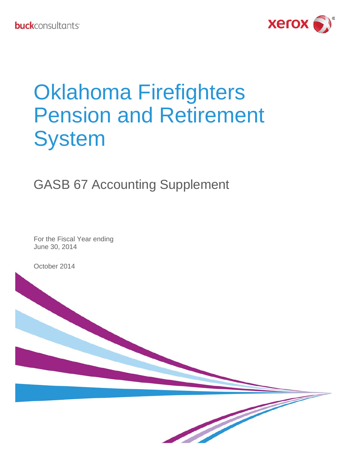

# Oklahoma Firefighters Pension and Retirement **System**

# GASB 67 Accounting Supplement

For the Fiscal Year ending June 30, 2014

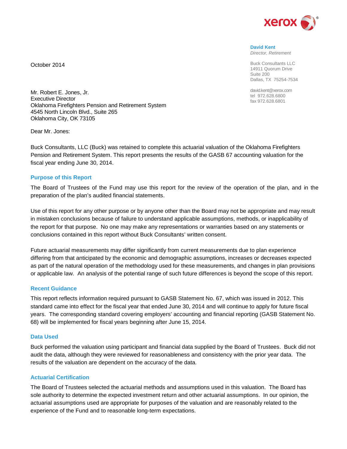

**David Kent** *Director, Retirement*

Buck Consultants LLC 14911 Quorum Drive Suite 200 Dallas, TX 75254-7534

david.kent@xerox.com tel 972.628.6800 fax 972.628.6801

Mr. Robert E. Jones, Jr. Executive Director Oklahoma Firefighters Pension and Retirement System 4545 North Lincoln Blvd., Suite 265 Oklahoma City, OK 73105

Dear Mr. Jones:

October 2014

Buck Consultants, LLC (Buck) was retained to complete this actuarial valuation of the Oklahoma Firefighters Pension and Retirement System. This report presents the results of the GASB 67 accounting valuation for the fiscal year ending June 30, 2014.

#### **Purpose of this Report**

The Board of Trustees of the Fund may use this report for the review of the operation of the plan, and in the preparation of the plan's audited financial statements.

Use of this report for any other purpose or by anyone other than the Board may not be appropriate and may result in mistaken conclusions because of failure to understand applicable assumptions, methods, or inapplicability of the report for that purpose. No one may make any representations or warranties based on any statements or conclusions contained in this report without Buck Consultants' written consent.

Future actuarial measurements may differ significantly from current measurements due to plan experience differing from that anticipated by the economic and demographic assumptions, increases or decreases expected as part of the natural operation of the methodology used for these measurements, and changes in plan provisions or applicable law. An analysis of the potential range of such future differences is beyond the scope of this report.

#### **Recent Guidance**

This report reflects information required pursuant to GASB Statement No. 67, which was issued in 2012. This standard came into effect for the fiscal year that ended June 30, 2014 and will continue to apply for future fiscal years. The corresponding standard covering employers' accounting and financial reporting (GASB Statement No. 68) will be implemented for fiscal years beginning after June 15, 2014.

#### **Data Used**

Buck performed the valuation using participant and financial data supplied by the Board of Trustees. Buck did not audit the data, although they were reviewed for reasonableness and consistency with the prior year data. The results of the valuation are dependent on the accuracy of the data.

#### **Actuarial Certification**

The Board of Trustees selected the actuarial methods and assumptions used in this valuation. The Board has sole authority to determine the expected investment return and other actuarial assumptions. In our opinion, the actuarial assumptions used are appropriate for purposes of the valuation and are reasonably related to the experience of the Fund and to reasonable long-term expectations.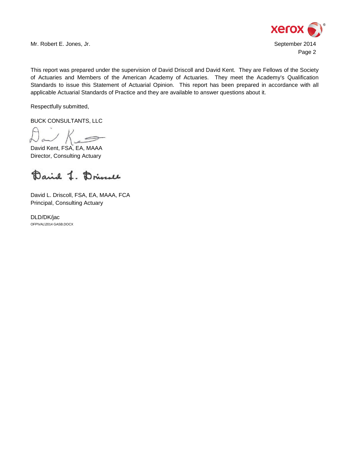

Mr. Robert E. Jones, Jr. September 2014

This report was prepared under the supervision of David Driscoll and David Kent. They are Fellows of the Society of Actuaries and Members of the American Academy of Actuaries. They meet the Academy's Qualification Standards to issue this Statement of Actuarial Opinion. This report has been prepared in accordance with all applicable Actuarial Standards of Practice and they are available to answer questions about it.

Respectfully submitted,

BUCK CONSULTANTS, LLC

 $K_{-}$ 

David Kent, FSA, EA, MAAA Director, Consulting Actuary

Daniel J. Drivell

David L. Driscoll, FSA, EA, MAAA, FCA Principal, Consulting Actuary

DLD/DK/jac OFP\VAL\2014 GASB.DOCX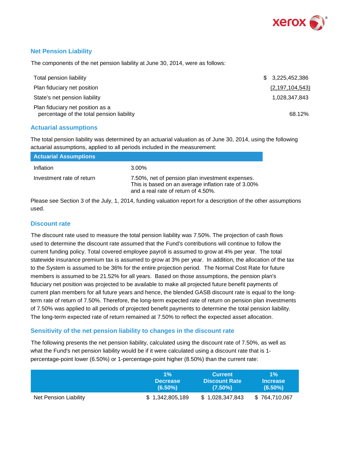

#### **Net Pension Liability**

The components of the net pension liability at June 30, 2014, were as follows:

| Total pension liability                                                       | \$3,225,452,386    |
|-------------------------------------------------------------------------------|--------------------|
| Plan fiduciary net position                                                   | (2, 197, 104, 543) |
| State's net pension liability                                                 | 1.028.347.843      |
| Plan fiduciary net position as a<br>percentage of the total pension liability | 68.12%             |

#### **Actuarial assumptions**

The total pension liability was determined by an actuarial valuation as of June 30, 2014, using the following actuarial assumptions, applied to all periods included in the measurement:

| <b>Actuarial Assumptions</b> |                                                                                                                                               |
|------------------------------|-----------------------------------------------------------------------------------------------------------------------------------------------|
| Inflation                    | 3.00%                                                                                                                                         |
| Investment rate of return    | 7.50%, net of pension plan investment expenses.<br>This is based on an average inflation rate of 3.00%<br>and a real rate of return of 4.50%. |

Please see Section 3 of the July, 1, 2014, funding valuation report for a description of the other assumptions used.

#### **Discount rate**

The discount rate used to measure the total pension liability was 7.50%. The projection of cash flows used to determine the discount rate assumed that the Fund's contributions will continue to follow the current funding policy. Total covered employee payroll is assumed to grow at 4% per year. The total statewide insurance premium tax is assumed to grow at 3% per year. In addition, the allocation of the tax to the System is assumed to be 36% for the entire projection period. The Normal Cost Rate for future members is assumed to be 21.52% for all years. Based on those assumptions, the pension plan's fiduciary net position was projected to be available to make all projected future benefit payments of current plan members for all future years and hence, the blended GASB discount rate is equal to the longterm rate of return of 7.50%. Therefore, the long-term expected rate of return on pension plan investments of 7.50% was applied to all periods of projected benefit payments to determine the total pension liability. The long-term expected rate of return remained at 7.50% to reflect the expected asset allocation.

#### **Sensitivity of the net pension liability to changes in the discount rate**

The following presents the net pension liability, calculated using the discount rate of 7.50%, as well as what the Fund's net pension liability would be if it were calculated using a discount rate that is 1 percentage-point lower (6.50%) or 1-percentage-point higher (8.50%) than the current rate:

|                       | $1\%$           | <b>Current</b>       | $1\%$           |
|-----------------------|-----------------|----------------------|-----------------|
|                       | <b>Decrease</b> | <b>Discount Rate</b> | <b>Increase</b> |
|                       | $(6.50\%)$      | $(7.50\%)$           | $(8.50\%)$      |
| Net Pension Liability | \$1,342,805,189 | \$1,028,347,843      | \$764,710,067   |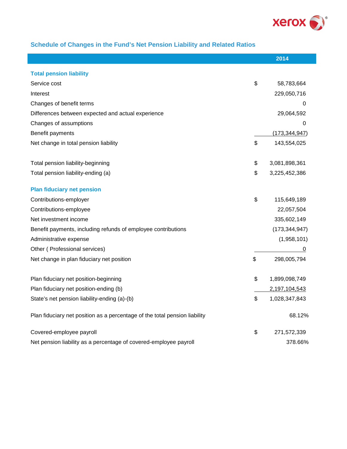

# **Schedule of Changes in the Fund's Net Pension Liability and Related Ratios**

I

|                                                                            | 2014                |
|----------------------------------------------------------------------------|---------------------|
| <b>Total pension liability</b>                                             |                     |
| Service cost                                                               | \$<br>58,783,664    |
| Interest                                                                   | 229,050,716         |
| Changes of benefit terms                                                   | 0                   |
| Differences between expected and actual experience                         | 29,064,592          |
|                                                                            |                     |
| Changes of assumptions                                                     | 0                   |
| Benefit payments                                                           | (173, 344, 947)     |
| Net change in total pension liability                                      | \$<br>143,554,025   |
| Total pension liability-beginning                                          | \$<br>3,081,898,361 |
| Total pension liability-ending (a)                                         | \$<br>3,225,452,386 |
| <b>Plan fiduciary net pension</b>                                          |                     |
| Contributions-employer                                                     | \$<br>115,649,189   |
| Contributions-employee                                                     | 22,057,504          |
| Net investment income                                                      | 335,602,149         |
| Benefit payments, including refunds of employee contributions              | (173, 344, 947)     |
| Administrative expense                                                     | (1,958,101)         |
| Other (Professional services)                                              | 0                   |
| Net change in plan fiduciary net position                                  | \$<br>298,005,794   |
| Plan fiduciary net position-beginning                                      | \$<br>1,899,098,749 |
| Plan fiduciary net position-ending (b)                                     | 2,197,104,543       |
| State's net pension liability-ending (a)-(b)                               | \$<br>1,028,347,843 |
| Plan fiduciary net position as a percentage of the total pension liability | 68.12%              |
| Covered-employee payroll                                                   | \$<br>271,572,339   |
| Net pension liability as a percentage of covered-employee payroll          | 378.66%             |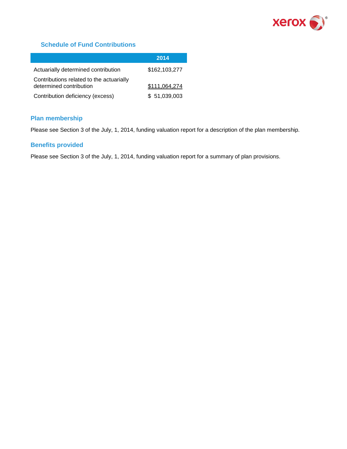

### **Schedule of Fund Contributions**

|                                                                     | 2014          |
|---------------------------------------------------------------------|---------------|
| Actuarially determined contribution                                 | \$162,103,277 |
| Contributions related to the actuarially<br>determined contribution | \$111,064,274 |
| Contribution deficiency (excess)                                    | \$51,039,003  |

#### **Plan membership**

Please see Section 3 of the July, 1, 2014, funding valuation report for a description of the plan membership.

#### **Benefits provided**

Please see Section 3 of the July, 1, 2014, funding valuation report for a summary of plan provisions.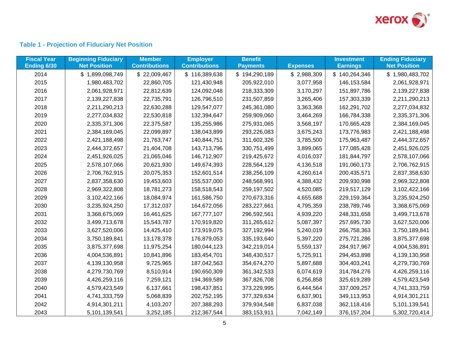

# **Table 1 - Projection of Fiduciary Net Position**

| <b>Fiscal Year</b><br>Ending 6/30 | <b>Beginning Fiduciary</b><br><b>Net Position</b> | <b>Member</b><br><b>Contributions</b> | <b>Employer</b><br><b>Contributions</b> | <b>Benefit</b><br><b>Payments</b> | <b>Expenses</b> | <b>Investment</b><br><b>Earnings</b> | <b>Ending Fiduciary</b><br><b>Net Position</b> |
|-----------------------------------|---------------------------------------------------|---------------------------------------|-----------------------------------------|-----------------------------------|-----------------|--------------------------------------|------------------------------------------------|
| 2014                              | \$1,899,098,749                                   | \$22,009,467                          | \$116,389,638                           | \$194,290,189                     | \$2,988,309     | \$140,264,346                        | \$1,980,483,702                                |
| 2015                              | 1,980,483,702                                     | 22,860,705                            | 121,430,948                             | 205,922,010                       | 3,077,958       | 146, 153, 584                        | 2,061,928,971                                  |
| 2016                              | 2,061,928,971                                     | 22,812,639                            | 124,092,048                             | 218,333,309                       | 3,170,297       | 151,897,786                          | 2,139,227,838                                  |
| 2017                              | 2,139,227,838                                     | 22,735,791                            | 126,796,510                             | 231,507,859                       | 3,265,406       | 157,303,339                          | 2,211,290,213                                  |
| 2018                              | 2,211,290,213                                     | 22,630,288                            | 129,547,077                             | 245,361,080                       | 3,363,368       | 162,291,702                          | 2,277,034,832                                  |
| 2019                              | 2,277,034,832                                     | 22,530,818                            | 132,394,647                             | 259,909,060                       | 3,464,269       | 166,784,338                          | 2,335,371,306                                  |
| 2020                              | 2,335,371,306                                     | 22,375,587                            | 135,255,986                             | 275,931,065                       | 3,568,197       | 170,665,428                          | 2,384,169,045                                  |
| 2021                              | 2,384,169,045                                     | 22,099,897                            | 138,043,899                             | 293,226,083                       | 3,675,243       | 173,776,983                          | 2,421,188,498                                  |
| 2022                              | 2,421,188,498                                     | 21,763,747                            | 140,844,751                             | 311,602,326                       | 3,785,500       | 175,963,487                          | 2,444,372,657                                  |
| 2023                              | 2,444,372,657                                     | 21,404,708                            | 143,713,796                             | 330,751,499                       | 3,899,065       | 177,085,428                          | 2,451,926,025                                  |
| 2024                              | 2,451,926,025                                     | 21,065,046                            | 146,712,907                             | 219,425,672                       | 4,016,037       | 181,844,797                          | 2,578,107,066                                  |
| 2025                              | 2,578,107,066                                     | 20,621,930                            | 149,674,393                             | 228,564,129                       | 4,136,518       | 191,060,173                          | 2,706,762,915                                  |
| 2026                              | 2,706,762,915                                     | 20,075,353                            | 152,601,514                             | 238,256,109                       | 4,260,614       | 200,435,571                          | 2,837,358,630                                  |
| 2027                              | 2,837,358,630                                     | 19,453,603                            | 155,537,000                             | 248,568,991                       | 4,388,432       | 209,930,998                          | 2,969,322,808                                  |
| 2028                              | 2,969,322,808                                     | 18,781,273                            | 158,518,543                             | 259, 197, 502                     | 4,520,085       | 219,517,129                          | 3,102,422,166                                  |
| 2029                              | 3,102,422,166                                     | 18,084,974                            | 161,586,750                             | 270,673,316                       | 4,655,688       | 229,159,364                          | 3,235,924,250                                  |
| 2030                              | 3,235,924,250                                     | 17,312,037                            | 164,672,056                             | 283,227,661                       | 4,795,359       | 238,789,746                          | 3,368,675,069                                  |
| 2031                              | 3,368,675,069                                     | 16,461,625                            | 167,777,107                             | 296,592,561                       | 4,939,220       | 248,331,658                          | 3,499,713,678                                  |
| 2032                              | 3,499,713,678                                     | 15,543,787                            | 170,919,820                             | 311,265,612                       | 5,087,397       | 257,695,730                          | 3,627,520,006                                  |
| 2033                              | 3,627,520,006                                     | 14,425,410                            | 173,919,075                             | 327,192,994                       | 5,240,019       | 266,758,363                          | 3,750,189,841                                  |
| 2034                              | 3,750,189,841                                     | 13,178,378                            | 176,879,053                             | 335,193,640                       | 5,397,220       | 275,721,286                          | 3,875,377,698                                  |
| 2035                              | 3,875,377,698                                     | 11,975,254                            | 180,044,123                             | 342,219,014                       | 5,559,137       | 284,917,967                          | 4,004,536,891                                  |
| 2036                              | 4,004,536,891                                     | 10,841,896                            | 183,454,701                             | 348,430,517                       | 5,725,911       | 294,453,898                          | 4,139,130,958                                  |
| 2037                              | 4,139,130,958                                     | 9,725,965                             | 187,042,563                             | 354,674,270                       | 5,897,688       | 304,403,241                          | 4,279,730,769                                  |
| 2038                              | 4,279,730,769                                     | 8,510,914                             | 190,650,309                             | 361, 342, 533                     | 6,074,619       | 314,784,276                          | 4,426,259,116                                  |
| 2039                              | 4,426,259,116                                     | 7,259,121                             | 194,369,589                             | 367,826,708                       | 6,256,858       | 325,619,289                          | 4,579,423,549                                  |
| 2040                              | 4,579,423,549                                     | 6,137,661                             | 198,437,851                             | 373,229,995                       | 6,444,564       | 337,009,257                          | 4,741,333,759                                  |
| 2041                              | 4,741,333,759                                     | 5,068,839                             | 202,752,195                             | 377,329,634                       | 6,637,901       | 349,113,953                          | 4,914,301,211                                  |
| 2042                              | 4,914,301,211                                     | 4,103,207                             | 207,388,293                             | 379,934,548                       | 6,837,038       | 362,118,416                          | 5,101,139,541                                  |
| 2043                              | 5,101,139,541                                     | 3,252,185                             | 212,367,544                             | 383,153,911                       | 7,042,149       | 376, 157, 204                        | 5,302,720,414                                  |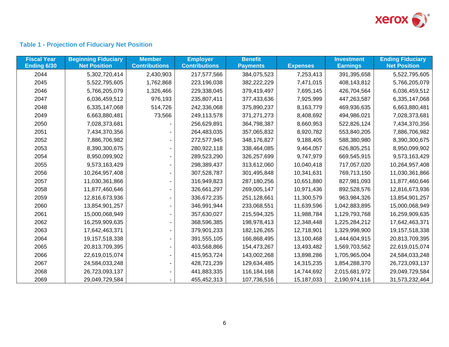

# **Table 1 - Projection of Fiduciary Net Position**

| <b>Fiscal Year</b><br>Ending 6/30 | <b>Beginning Fiduciary</b><br><b>Net Position</b> | <b>Member</b><br><b>Contributions</b> | <b>Employer</b><br><b>Contributions</b> | <b>Benefit</b><br><b>Payments</b> | <b>Expenses</b> | <b>Investment</b><br><b>Earnings</b> | <b>Ending Fiduciary</b><br><b>Net Position</b> |
|-----------------------------------|---------------------------------------------------|---------------------------------------|-----------------------------------------|-----------------------------------|-----------------|--------------------------------------|------------------------------------------------|
| 2044                              | 5,302,720,414                                     | 2,430,903                             | 217,577,566                             | 384,075,523                       | 7,253,413       | 391,395,658                          | 5,522,795,605                                  |
| 2045                              | 5,522,795,605                                     | 1,762,868                             | 223,196,038                             | 382,222,229                       | 7,471,015       | 408,143,812                          | 5,766,205,079                                  |
| 2046                              | 5,766,205,079                                     | 1,326,466                             | 229,338,045                             | 379,419,497                       | 7,695,145       | 426,704,564                          | 6,036,459,512                                  |
| 2047                              | 6,036,459,512                                     | 976,193                               | 235,807,411                             | 377,433,636                       | 7,925,999       | 447,263,587                          | 6,335,147,068                                  |
| 2048                              | 6,335,147,068                                     | 514,726                               | 242,336,068                             | 375,890,237                       | 8,163,779       | 469,936,635                          | 6,663,880,481                                  |
| 2049                              | 6,663,880,481                                     | 73,566                                | 249,113,578                             | 371,271,273                       | 8,408,692       | 494,986,021                          | 7,028,373,681                                  |
| 2050                              | 7,028,373,681                                     |                                       | 256,629,891                             | 364,798,387                       | 8,660,953       | 522,826,124                          | 7,434,370,356                                  |
| 2051                              | 7,434,370,356                                     |                                       | 264,483,035                             | 357,065,832                       | 8,920,782       | 553,840,205                          | 7,886,706,982                                  |
| 2052                              | 7,886,706,982                                     |                                       | 272,577,945                             | 348,176,827                       | 9,188,405       | 588,380,980                          | 8,390,300,675                                  |
| 2053                              | 8,390,300,675                                     |                                       | 280,922,118                             | 338,464,085                       | 9,464,057       | 626,805,251                          | 8,950,099,902                                  |
| 2054                              | 8,950,099,902                                     |                                       | 289,523,290                             | 326,257,699                       | 9,747,979       | 669,545,915                          | 9,573,163,429                                  |
| 2055                              | 9,573,163,429                                     |                                       | 298,389,437                             | 313,612,060                       | 10,040,418      | 717,057,020                          | 10,264,957,408                                 |
| 2056                              | 10,264,957,408                                    |                                       | 307,528,787                             | 301,495,848                       | 10,341,631      | 769,713,150                          | 11,030,361,866                                 |
| 2057                              | 11,030,361,866                                    |                                       | 316,949,823                             | 287,180,256                       | 10,651,880      | 827,981,093                          | 11,877,460,646                                 |
| 2058                              | 11,877,460,646                                    |                                       | 326,661,297                             | 269,005,147                       | 10,971,436      | 892,528,576                          | 12,816,673,936                                 |
| 2059                              | 12,816,673,936                                    |                                       | 336,672,235                             | 251,128,661                       | 11,300,579      | 963,984,326                          | 13,854,901,257                                 |
| 2060                              | 13,854,901,257                                    |                                       | 346,991,944                             | 233,068,551                       | 11,639,596      | 1,042,883,895                        | 15,000,068,949                                 |
| 2061                              | 15,000,068,949                                    |                                       | 357,630,027                             | 215,594,325                       | 11,988,784      | 1,129,793,768                        | 16,259,909,635                                 |
| 2062                              | 16,259,909,635                                    |                                       | 368,596,385                             | 198,978,413                       | 12,348,448      | 1,225,284,212                        | 17,642,463,371                                 |
| 2063                              | 17,642,463,371                                    |                                       | 379,901,233                             | 182, 126, 265                     | 12,718,901      | 1,329,998,900                        | 19,157,518,338                                 |
| 2064                              | 19, 157, 518, 338                                 |                                       | 391,555,105                             | 166,868,495                       | 13,100,468      | 1,444,604,915                        | 20,813,709,395                                 |
| 2065                              | 20,813,709,395                                    |                                       | 403,568,866                             | 154,473,267                       | 13,493,482      | 1,569,703,562                        | 22,619,015,074                                 |
| 2066                              | 22,619,015,074                                    |                                       | 415,953,724                             | 143,002,268                       | 13,898,286      | 1,705,965,004                        | 24,584,033,248                                 |
| 2067                              | 24,584,033,248                                    |                                       | 428,721,239                             | 129,634,485                       | 14,315,235      | 1,854,288,370                        | 26,723,093,137                                 |
| 2068                              | 26,723,093,137                                    |                                       | 441,883,335                             | 116, 184, 168                     | 14,744,692      | 2,015,681,972                        | 29,049,729,584                                 |
| 2069                              | 29,049,729,584                                    |                                       | 455,452,313                             | 107,736,516                       | 15,187,033      | 2,190,974,116                        | 31,573,232,464                                 |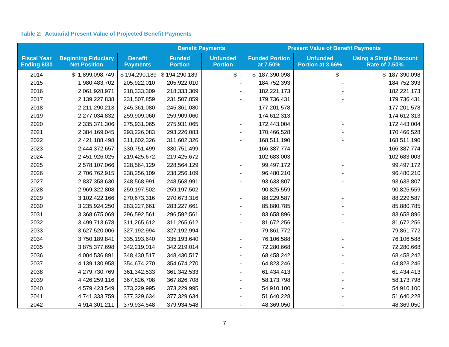# **Table 2: Actuarial Present Value of Projected Benefit Payments**

|                                   |                                                   |                                   |                                 | <b>Benefit Payments</b>           | <b>Present Value of Benefit Payments</b> |                                     |                                                        |  |
|-----------------------------------|---------------------------------------------------|-----------------------------------|---------------------------------|-----------------------------------|------------------------------------------|-------------------------------------|--------------------------------------------------------|--|
| <b>Fiscal Year</b><br>Ending 6/30 | <b>Beginning Fiduciary</b><br><b>Net Position</b> | <b>Benefit</b><br><b>Payments</b> | <b>Funded</b><br><b>Portion</b> | <b>Unfunded</b><br><b>Portion</b> | <b>Funded Portion</b><br>at 7.50%        | <b>Unfunded</b><br>Portion at 3.66% | <b>Using a Single Discount</b><br><b>Rate of 7.50%</b> |  |
| 2014                              | \$1,899,098,749                                   | \$194,290,189                     | \$194,290,189                   | $\frac{1}{2}$ .                   | \$187,390,098                            | $\mathsf{\$}$ .                     | \$187,390,098                                          |  |
| 2015                              | 1,980,483,702                                     | 205,922,010                       | 205,922,010                     |                                   | 184,752,393                              |                                     | 184,752,393                                            |  |
| 2016                              | 2,061,928,971                                     | 218,333,309                       | 218,333,309                     |                                   | 182,221,173                              |                                     | 182,221,173                                            |  |
| 2017                              | 2,139,227,838                                     | 231,507,859                       | 231,507,859                     |                                   | 179,736,431                              |                                     | 179,736,431                                            |  |
| 2018                              | 2,211,290,213                                     | 245,361,080                       | 245,361,080                     |                                   | 177,201,578                              |                                     | 177,201,578                                            |  |
| 2019                              | 2,277,034,832                                     | 259,909,060                       | 259,909,060                     |                                   | 174,612,313                              |                                     | 174,612,313                                            |  |
| 2020                              | 2,335,371,306                                     | 275,931,065                       | 275,931,065                     |                                   | 172,443,004                              |                                     | 172,443,004                                            |  |
| 2021                              | 2,384,169,045                                     | 293,226,083                       | 293,226,083                     |                                   | 170,466,528                              |                                     | 170,466,528                                            |  |
| 2022                              | 2,421,188,498                                     | 311,602,326                       | 311,602,326                     |                                   | 168,511,190                              |                                     | 168,511,190                                            |  |
| 2023                              | 2,444,372,657                                     | 330,751,499                       | 330,751,499                     |                                   | 166,387,774                              |                                     | 166,387,774                                            |  |
| 2024                              | 2,451,926,025                                     | 219,425,672                       | 219,425,672                     |                                   | 102,683,003                              |                                     | 102,683,003                                            |  |
| 2025                              | 2,578,107,066                                     | 228,564,129                       | 228,564,129                     |                                   | 99,497,172                               |                                     | 99,497,172                                             |  |
| 2026                              | 2,706,762,915                                     | 238,256,109                       | 238,256,109                     |                                   | 96,480,210                               |                                     | 96,480,210                                             |  |
| 2027                              | 2,837,358,630                                     | 248,568,991                       | 248,568,991                     |                                   | 93,633,807                               |                                     | 93,633,807                                             |  |
| 2028                              | 2,969,322,808                                     | 259,197,502                       | 259,197,502                     |                                   | 90,825,559                               |                                     | 90,825,559                                             |  |
| 2029                              | 3,102,422,166                                     | 270,673,316                       | 270,673,316                     |                                   | 88,229,587                               |                                     | 88,229,587                                             |  |
| 2030                              | 3,235,924,250                                     | 283,227,661                       | 283,227,661                     |                                   | 85,880,785                               |                                     | 85,880,785                                             |  |
| 2031                              | 3,368,675,069                                     | 296,592,561                       | 296,592,561                     |                                   | 83,658,896                               |                                     | 83,658,896                                             |  |
| 2032                              | 3,499,713,678                                     | 311,265,612                       | 311,265,612                     |                                   | 81,672,256                               |                                     | 81,672,256                                             |  |
| 2033                              | 3,627,520,006                                     | 327,192,994                       | 327, 192, 994                   |                                   | 79,861,772                               |                                     | 79,861,772                                             |  |
| 2034                              | 3,750,189,841                                     | 335,193,640                       | 335,193,640                     |                                   | 76,106,588                               |                                     | 76,106,588                                             |  |
| 2035                              | 3,875,377,698                                     | 342,219,014                       | 342,219,014                     |                                   | 72,280,668                               |                                     | 72,280,668                                             |  |
| 2036                              | 4,004,536,891                                     | 348,430,517                       | 348,430,517                     |                                   | 68,458,242                               |                                     | 68,458,242                                             |  |
| 2037                              | 4,139,130,958                                     | 354,674,270                       | 354,674,270                     |                                   | 64,823,246                               |                                     | 64,823,246                                             |  |
| 2038                              | 4,279,730,769                                     | 361,342,533                       | 361,342,533                     |                                   | 61,434,413                               |                                     | 61,434,413                                             |  |
| 2039                              | 4,426,259,116                                     | 367,826,708                       | 367,826,708                     |                                   | 58,173,798                               |                                     | 58,173,798                                             |  |
| 2040                              | 4,579,423,549                                     | 373,229,995                       | 373,229,995                     |                                   | 54,910,100                               |                                     | 54,910,100                                             |  |
| 2041                              | 4,741,333,759                                     | 377,329,634                       | 377,329,634                     |                                   | 51,640,228                               |                                     | 51,640,228                                             |  |
| 2042                              | 4,914,301,211                                     | 379,934,548                       | 379,934,548                     |                                   | 48,369,050                               |                                     | 48,369,050                                             |  |